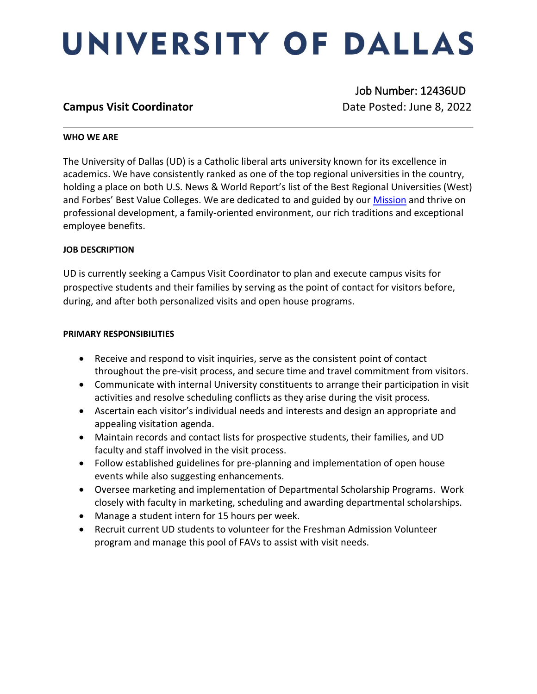# UNIVERSITY OF DALLAS

### **Campus Visit Coordinator Campus Visit Coordinator Date Posted: June 8, 2022**

Job Number: 12436UD

### **WHO WE ARE**

The University of Dallas (UD) is a Catholic liberal arts university known for its excellence in academics. We have consistently ranked as one of the top regional universities in the country, holding a place on both U.S. News & World Report's list of the Best Regional Universities (West) and Forbes' Best Value Colleges. We are dedicated to and guided by our [Mission](https://www.udallas.edu/about/mission.php) and thrive on professional development, a family-oriented environment, our rich traditions and exceptional employee benefits.

### **JOB DESCRIPTION**

UD is currently seeking a Campus Visit Coordinator to plan and execute campus visits for prospective students and their families by serving as the point of contact for visitors before, during, and after both personalized visits and open house programs.

### **PRIMARY RESPONSIBILITIES**

- Receive and respond to visit inquiries, serve as the consistent point of contact throughout the pre-visit process, and secure time and travel commitment from visitors.
- Communicate with internal University constituents to arrange their participation in visit activities and resolve scheduling conflicts as they arise during the visit process.
- Ascertain each visitor's individual needs and interests and design an appropriate and appealing visitation agenda.
- Maintain records and contact lists for prospective students, their families, and UD faculty and staff involved in the visit process.
- Follow established guidelines for pre-planning and implementation of open house events while also suggesting enhancements.
- Oversee marketing and implementation of Departmental Scholarship Programs. Work closely with faculty in marketing, scheduling and awarding departmental scholarships.
- Manage a student intern for 15 hours per week.
- Recruit current UD students to volunteer for the Freshman Admission Volunteer program and manage this pool of FAVs to assist with visit needs.